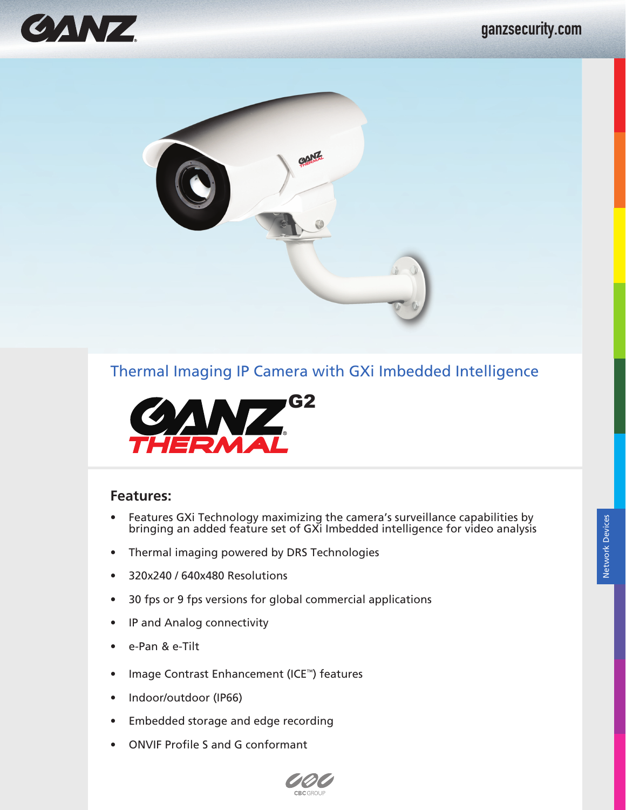





### **Features:**

- Features GXi Technology maximizing the camera's surveillance capabilities by bringing an added feature set of GXi Imbedded intelligence for video analysis
- Thermal imaging powered by DRS Technologies
- 320x240 / 640x480 Resolutions
- 30 fps or 9 fps versions for global commercial applications
- IP and Analog connectivity
- e-Pan & e-Tilt
- Image Contrast Enhancement (ICE™) features
- Indoor/outdoor (IP66)
- Embedded storage and edge recording
- ONVIF Profile S and G conformant

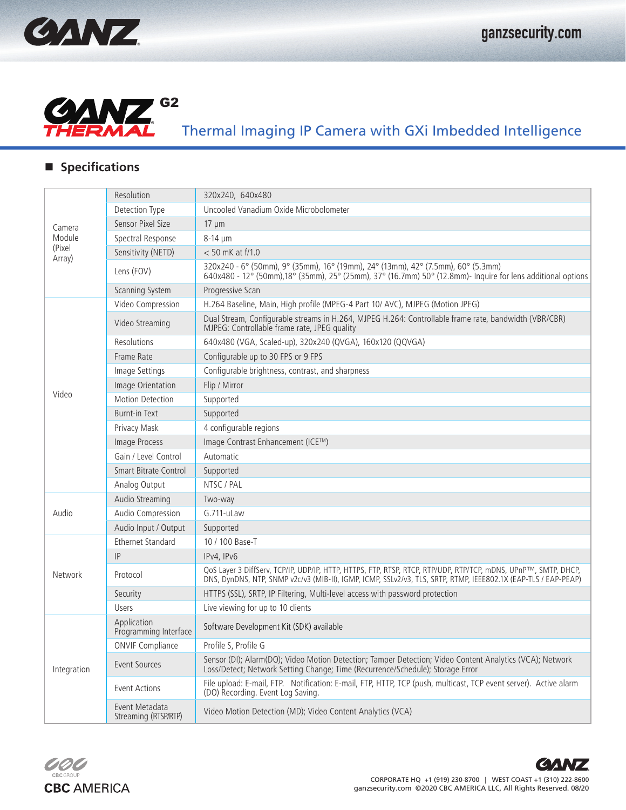



## **Specifications**

| Camera<br>Module<br>(Pixel)<br>Array) | Resolution                             | 320x240, 640x480                                                                                                                                                                                                                 |
|---------------------------------------|----------------------------------------|----------------------------------------------------------------------------------------------------------------------------------------------------------------------------------------------------------------------------------|
|                                       | Detection Type                         | Uncooled Vanadium Oxide Microbolometer                                                                                                                                                                                           |
|                                       | Sensor Pixel Size                      | $17 \mu m$                                                                                                                                                                                                                       |
|                                       | Spectral Response                      | 8-14 µm                                                                                                                                                                                                                          |
|                                       | Sensitivity (NETD)                     | $< 50$ mK at f/1.0                                                                                                                                                                                                               |
|                                       | Lens (FOV)                             | 320x240 - 6° (50mm), 9° (35mm), 16° (19mm), 24° (13mm), 42° (7.5mm), 60° (5.3mm)<br>640x480 - 12° (50mm),18° (35mm), 25° (25mm), 37° (16.7mm) 50° (12.8mm) - Inquire for lens additional options                                 |
|                                       | <b>Scanning System</b>                 | Progressive Scan                                                                                                                                                                                                                 |
|                                       | Video Compression                      | H.264 Baseline, Main, High profile (MPEG-4 Part 10/ AVC), MJPEG (Motion JPEG)                                                                                                                                                    |
|                                       | Video Streaming                        | Dual Stream, Configurable streams in H.264, MJPEG H.264: Controllable frame rate, bandwidth (VBR/CBR)<br>MJPEG: Controllable frame rate, JPEG quality                                                                            |
|                                       | Resolutions                            | 640x480 (VGA, Scaled-up), 320x240 (QVGA), 160x120 (QQVGA)                                                                                                                                                                        |
|                                       | Frame Rate                             | Configurable up to 30 FPS or 9 FPS                                                                                                                                                                                               |
|                                       | Image Settings                         | Configurable brightness, contrast, and sharpness                                                                                                                                                                                 |
|                                       | Image Orientation                      | Flip / Mirror                                                                                                                                                                                                                    |
| Video                                 | <b>Motion Detection</b>                | Supported                                                                                                                                                                                                                        |
|                                       | <b>Burnt-in Text</b>                   | Supported                                                                                                                                                                                                                        |
|                                       | Privacy Mask                           | 4 configurable regions                                                                                                                                                                                                           |
|                                       | Image Process                          | Image Contrast Enhancement (ICE™)                                                                                                                                                                                                |
|                                       | Gain / Level Control                   | Automatic                                                                                                                                                                                                                        |
|                                       | <b>Smart Bitrate Control</b>           | Supported                                                                                                                                                                                                                        |
|                                       | Analog Output                          | NTSC / PAL                                                                                                                                                                                                                       |
|                                       | Audio Streaming                        | Two-way                                                                                                                                                                                                                          |
| Audio                                 | Audio Compression                      | G.711-uLaw                                                                                                                                                                                                                       |
|                                       | Audio Input / Output                   | Supported                                                                                                                                                                                                                        |
|                                       | <b>Ethernet Standard</b>               | 10 / 100 Base-T                                                                                                                                                                                                                  |
| Network                               | IP                                     | IPv4, IPv6                                                                                                                                                                                                                       |
|                                       | Protocol                               | QoS Layer 3 DiffServ, TCP/IP, UDP/IP, HTTP, HTTPS, FTP, RTSP, RTCP, RTP/UDP, RTP/TCP, mDNS, UPnP™, SMTP, DHCP,<br>DNS, DynDNS, NTP, SNMP v2c/v3 (MIB-II), IGMP, ICMP, SSLv2/v3, TLS, SRTP, RTMP, IEEE802.1X (EAP-TLS / EAP-PEAP) |
|                                       | Security                               | HTTPS (SSL), SRTP, IP Filtering, Multi-level access with password protection                                                                                                                                                     |
|                                       | Users                                  | Live viewing for up to 10 clients                                                                                                                                                                                                |
| Integration                           | Application<br>Programming Interface   | Software Development Kit (SDK) available                                                                                                                                                                                         |
|                                       | <b>ONVIF Compliance</b>                | Profile S, Profile G                                                                                                                                                                                                             |
|                                       | <b>Event Sources</b>                   | Sensor (DI); Alarm(DO); Video Motion Detection; Tamper Detection; Video Content Analytics (VCA); Network<br>Loss/Detect; Network Setting Change; Time (Recurrence/Schedule); Storage Error                                       |
|                                       | <b>Event Actions</b>                   | File upload: E-mail, FTP. Notification: E-mail, FTP, HTTP, TCP (push, multicast, TCP event server). Active alarm<br>(DO) Recording. Event Log Saving.                                                                            |
|                                       | Event Metadata<br>Streaming (RTSP/RTP) | Video Motion Detection (MD); Video Content Analytics (VCA)                                                                                                                                                                       |

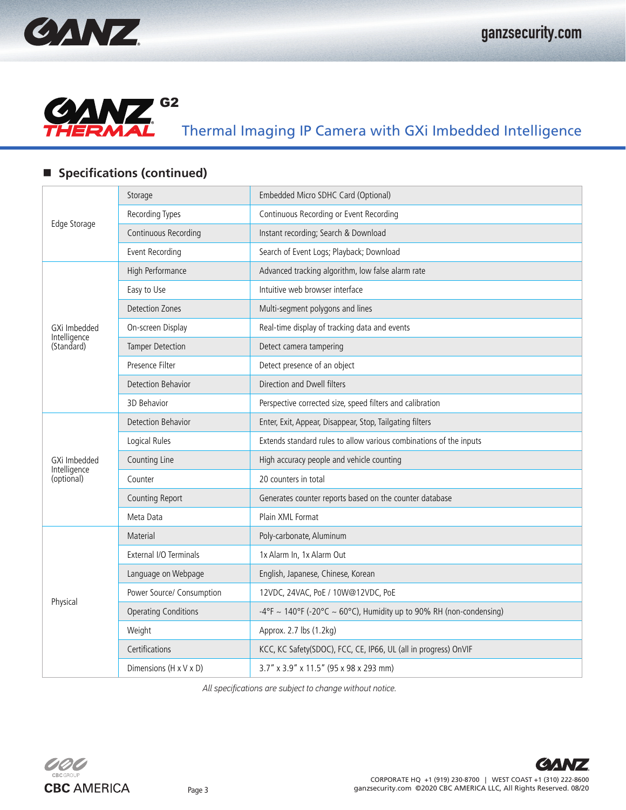



## **Specifications (continued)**

|                            | Storage                     | Embedded Micro SDHC Card (Optional)                                 |
|----------------------------|-----------------------------|---------------------------------------------------------------------|
|                            | Recording Types             | Continuous Recording or Event Recording                             |
| Edge Storage               | Continuous Recording        | Instant recording; Search & Download                                |
|                            | Event Recording             | Search of Event Logs; Playback; Download                            |
|                            | High Performance            | Advanced tracking algorithm, low false alarm rate                   |
|                            | Easy to Use                 | Intuitive web browser interface                                     |
|                            | <b>Detection Zones</b>      | Multi-segment polygons and lines                                    |
| GXi Imbedded               | On-screen Display           | Real-time display of tracking data and events                       |
| Intelligence<br>(Standard) | <b>Tamper Detection</b>     | Detect camera tampering                                             |
|                            | Presence Filter             | Detect presence of an object                                        |
|                            | <b>Detection Behavior</b>   | Direction and Dwell filters                                         |
|                            | 3D Behavior                 | Perspective corrected size, speed filters and calibration           |
|                            | Detection Behavior          | Enter, Exit, Appear, Disappear, Stop, Tailgating filters            |
|                            | Logical Rules               | Extends standard rules to allow various combinations of the inputs  |
| GXi Imbedded               | Counting Line               | High accuracy people and vehicle counting                           |
| Intelligence<br>(optional) | Counter                     | 20 counters in total                                                |
|                            | <b>Counting Report</b>      | Generates counter reports based on the counter database             |
|                            | Meta Data                   | Plain XML Format                                                    |
|                            | Material                    | Poly-carbonate, Aluminum                                            |
|                            | External I/O Terminals      | 1x Alarm In, 1x Alarm Out                                           |
|                            | Language on Webpage         | English, Japanese, Chinese, Korean                                  |
|                            | Power Source/ Consumption   | 12VDC, 24VAC, PoE / 10W@12VDC, PoE                                  |
| Physical                   | <b>Operating Conditions</b> | -4°F ~ 140°F (-20°C ~ 60°C), Humidity up to 90% RH (non-condensing) |
|                            | Weight                      | Approx. 2.7 lbs (1.2kg)                                             |
|                            | Certifications              | KCC, KC Safety(SDOC), FCC, CE, IP66, UL (all in progress) OnVIF     |
|                            | Dimensions (H x V x D)      | 3.7" x 3.9" x 11.5" (95 x 98 x 293 mm)                              |

*All specifications are subject to change without notice.*